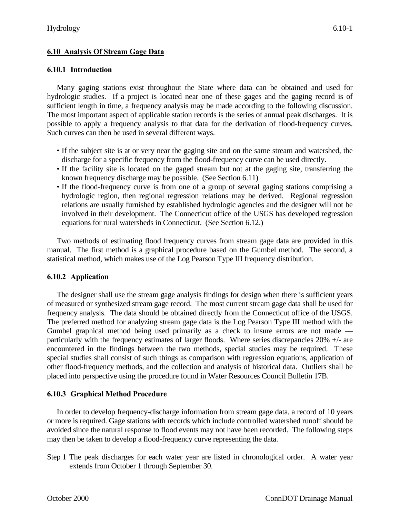# **6.10 Analysis Of Stream Gage Data**

#### **6.10.1 Introduction**

Many gaging stations exist throughout the State where data can be obtained and used for hydrologic studies. If a project is located near one of these gages and the gaging record is of sufficient length in time, a frequency analysis may be made according to the following discussion. The most important aspect of applicable station records is the series of annual peak discharges. It is possible to apply a frequency analysis to that data for the derivation of flood-frequency curves. Such curves can then be used in several different ways.

- If the subject site is at or very near the gaging site and on the same stream and watershed, the discharge for a specific frequency from the flood-frequency curve can be used directly.
- If the facility site is located on the gaged stream but not at the gaging site, transferring the known frequency discharge may be possible. (See Section 6.11)
- If the flood-frequency curve is from one of a group of several gaging stations comprising a hydrologic region, then regional regression relations may be derived. Regional regression relations are usually furnished by established hydrologic agencies and the designer will not be involved in their development. The Connecticut office of the USGS has developed regression equations for rural watersheds in Connecticut. (See Section 6.12.)

Two methods of estimating flood frequency curves from stream gage data are provided in this manual. The first method is a graphical procedure based on the Gumbel method. The second, a statistical method, which makes use of the Log Pearson Type III frequency distribution.

### **6.10.2 Application**

The designer shall use the stream gage analysis findings for design when there is sufficient years of measured or synthesized stream gage record. The most current stream gage data shall be used for frequency analysis. The data should be obtained directly from the Connecticut office of the USGS. The preferred method for analyzing stream gage data is the Log Pearson Type III method with the Gumbel graphical method being used primarily as a check to insure errors are not made particularly with the frequency estimates of larger floods. Where series discrepancies 20% +/- are encountered in the findings between the two methods, special studies may be required. These special studies shall consist of such things as comparison with regression equations, application of other flood-frequency methods, and the collection and analysis of historical data. Outliers shall be placed into perspective using the procedure found in Water Resources Council Bulletin 17B.

### **6.10.3 Graphical Method Procedure**

In order to develop frequency-discharge information from stream gage data, a record of 10 years or more is required. Gage stations with records which include controlled watershed runoff should be avoided since the natural response to flood events may not have been recorded. The following steps may then be taken to develop a flood-frequency curve representing the data.

Step 1 The peak discharges for each water year are listed in chronological order. A water year extends from October 1 through September 30.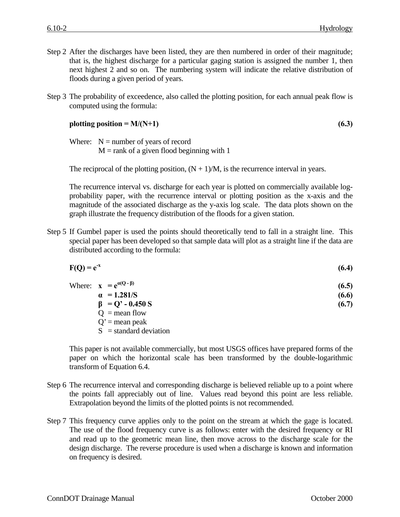- Step 2 After the discharges have been listed, they are then numbered in order of their magnitude; that is, the highest discharge for a particular gaging station is assigned the number 1, then next highest 2 and so on. The numbering system will indicate the relative distribution of floods during a given period of years.
- Step 3 The probability of exceedence, also called the plotting position, for each annual peak flow is computed using the formula:

$$
plotting position = M/(N+1)
$$
\n(6.3)

Where:  $N =$  number of years of record

 $M =$ rank of a given flood beginning with 1

The reciprocal of the plotting position,  $(N + 1)/M$ , is the recurrence interval in years.

The recurrence interval vs. discharge for each year is plotted on commercially available logprobability paper, with the recurrence interval or plotting position as the x-axis and the magnitude of the associated discharge as the y-axis log scale. The data plots shown on the graph illustrate the frequency distribution of the floods for a given station.

Step 5 If Gumbel paper is used the points should theoretically tend to fall in a straight line. This special paper has been developed so that sample data will plot as a straight line if the data are distributed according to the formula:

| $F(Q) = e^{-x}$ | (6.4) |
|-----------------|-------|
|                 |       |

|  | Where: $\mathbf{x} = e^{\alpha(Q - \beta)}$ | (6.5) |
|--|---------------------------------------------|-------|
|  | $\alpha$ = 1.281/S                          | (6.6) |
|  | $\beta$ = Q' - 0.450 S                      | (6.7) |
|  | $Q =$ mean flow                             |       |
|  |                                             |       |

 $Q'$  = mean peak

 $S =$ standard deviation

This paper is not available commercially, but most USGS offices have prepared forms of the paper on which the horizontal scale has been transformed by the double-logarithmic transform of Equation 6.4.

- Step 6 The recurrence interval and corresponding discharge is believed reliable up to a point where the points fall appreciably out of line. Values read beyond this point are less reliable. Extrapolation beyond the limits of the plotted points is not recommended.
- Step 7 This frequency curve applies only to the point on the stream at which the gage is located. The use of the flood frequency curve is as follows: enter with the desired frequency or RI and read up to the geometric mean line, then move across to the discharge scale for the design discharge. The reverse procedure is used when a discharge is known and information on frequency is desired.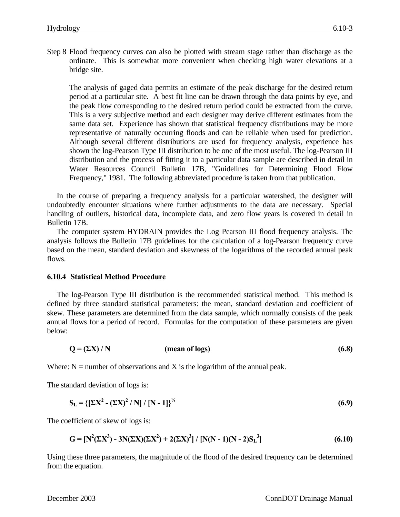Step 8 Flood frequency curves can also be plotted with stream stage rather than discharge as the ordinate. This is somewhat more convenient when checking high water elevations at a bridge site.

The analysis of gaged data permits an estimate of the peak discharge for the desired return period at a particular site. A best fit line can be drawn through the data points by eye, and the peak flow corresponding to the desired return period could be extracted from the curve. This is a very subjective method and each designer may derive different estimates from the same data set. Experience has shown that statistical frequency distributions may be more representative of naturally occurring floods and can be reliable when used for prediction. Although several different distributions are used for frequency analysis, experience has shown the log-Pearson Type III distribution to be one of the most useful. The log-Pearson III distribution and the process of fitting it to a particular data sample are described in detail in Water Resources Council Bulletin 17B, "Guidelines for Determining Flood Flow Frequency," 1981. The following abbreviated procedure is taken from that publication.

In the course of preparing a frequency analysis for a particular watershed, the designer will undoubtedly encounter situations where further adjustments to the data are necessary. Special handling of outliers, historical data, incomplete data, and zero flow years is covered in detail in Bulletin 17B.

The computer system HYDRAIN provides the Log Pearson III flood frequency analysis. The analysis follows the Bulletin 17B guidelines for the calculation of a log-Pearson frequency curve based on the mean, standard deviation and skewness of the logarithms of the recorded annual peak flows.

### **6.10.4 Statistical Method Procedure**

The log-Pearson Type III distribution is the recommended statistical method. This method is defined by three standard statistical parameters: the mean, standard deviation and coefficient of skew. These parameters are determined from the data sample, which normally consists of the peak annual flows for a period of record. Formulas for the computation of these parameters are given below:

$$
Q = (\Sigma X) / N \tag{6.8}
$$

Where:  $N =$  number of observations and X is the logarithm of the annual peak.

The standard deviation of logs is:

$$
S_{L} = \left\{ \left[ \sum X^{2} - (\sum X)^{2} / N \right] / \left[ N - 1 \right] \right\}^{\frac{1}{2}}
$$
(6.9)

The coefficient of skew of logs is:

$$
G = [N^{2}(\Sigma X^{3}) - 3N(\Sigma X)(\Sigma X^{2}) + 2(\Sigma X)^{3}] / [N(N - 1)(N - 2)S_{L}^{3}]
$$
\n(6.10)

Using these three parameters, the magnitude of the flood of the desired frequency can be determined from the equation.